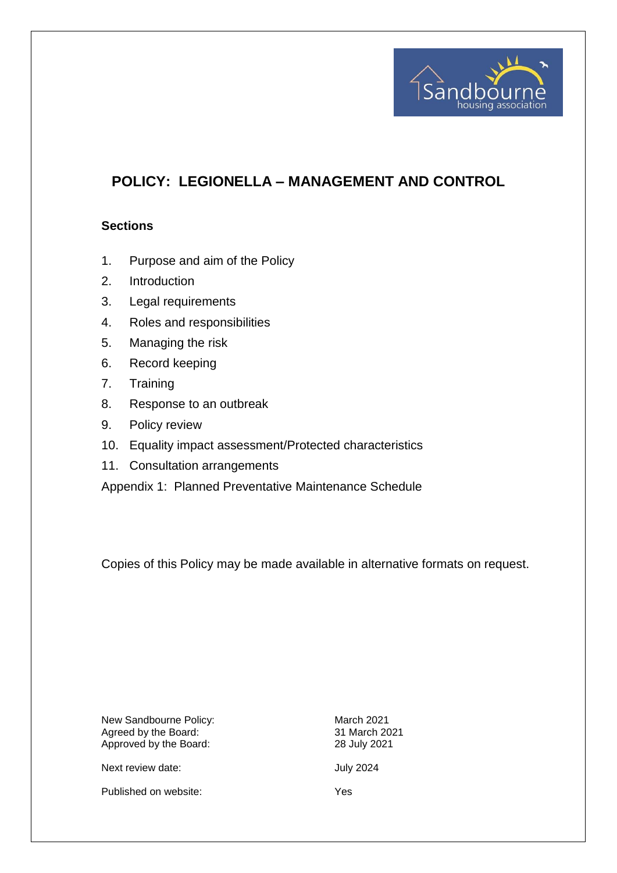

# **POLICY: LEGIONELLA – MANAGEMENT AND CONTROL**

#### **Sections**

- 1. Purpose and aim of the Policy
- 2. Introduction
- 3. Legal requirements
- 4. Roles and responsibilities
- 5. Managing the risk
- 6. Record keeping
- 7. Training
- 8. Response to an outbreak
- 9. Policy review
- 10. Equality impact assessment/Protected characteristics
- 11. Consultation arrangements

Appendix 1: Planned Preventative Maintenance Schedule

Copies of this Policy may be made available in alternative formats on request.

New Sandbourne Policy: March 2021 Agreed by the Board: 31 March 2021 Approved by the Board: 28 July 2021

Next review date:  $July 2024$ 

Published on website: Yes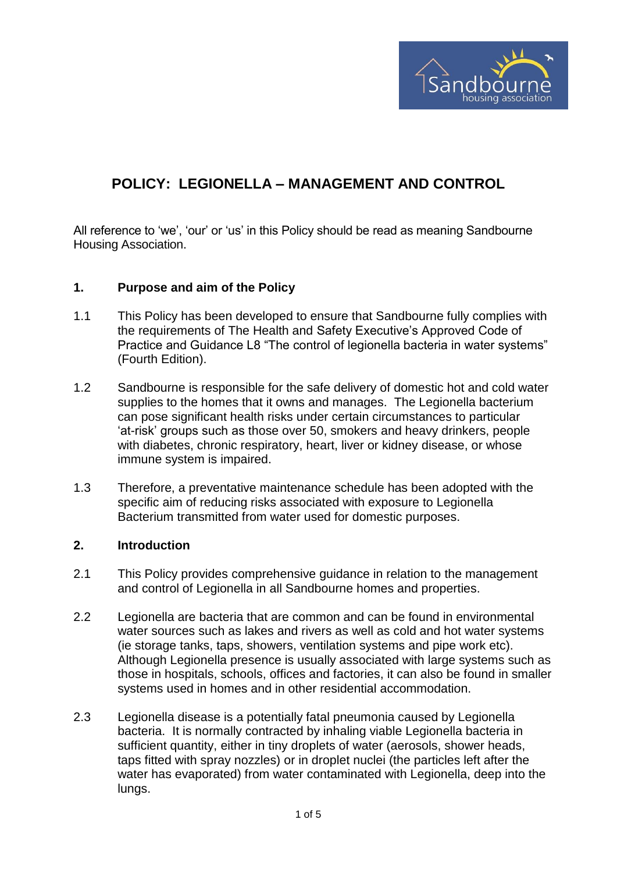

# **POLICY: LEGIONELLA – MANAGEMENT AND CONTROL**

All reference to 'we', 'our' or 'us' in this Policy should be read as meaning Sandbourne Housing Association.

#### **1. Purpose and aim of the Policy**

- 1.1 This Policy has been developed to ensure that Sandbourne fully complies with the requirements of The Health and Safety Executive's Approved Code of Practice and Guidance L8 "The control of legionella bacteria in water systems" (Fourth Edition).
- 1.2 Sandbourne is responsible for the safe delivery of domestic hot and cold water supplies to the homes that it owns and manages. The Legionella bacterium can pose significant health risks under certain circumstances to particular 'at-risk' groups such as those over 50, smokers and heavy drinkers, people with diabetes, chronic respiratory, heart, liver or kidney disease, or whose immune system is impaired.
- 1.3 Therefore, a preventative maintenance schedule has been adopted with the specific aim of reducing risks associated with exposure to Legionella Bacterium transmitted from water used for domestic purposes.

#### **2. Introduction**

- 2.1 This Policy provides comprehensive guidance in relation to the management and control of Legionella in all Sandbourne homes and properties.
- 2.2 Legionella are bacteria that are common and can be found in environmental water sources such as lakes and rivers as well as cold and hot water systems (ie storage tanks, taps, showers, ventilation systems and pipe work etc). Although Legionella presence is usually associated with large systems such as those in hospitals, schools, offices and factories, it can also be found in smaller systems used in homes and in other residential accommodation.
- 2.3 Legionella disease is a potentially fatal pneumonia caused by Legionella bacteria. It is normally contracted by inhaling viable Legionella bacteria in sufficient quantity, either in tiny droplets of water (aerosols, shower heads, taps fitted with spray nozzles) or in droplet nuclei (the particles left after the water has evaporated) from water contaminated with Legionella, deep into the lungs.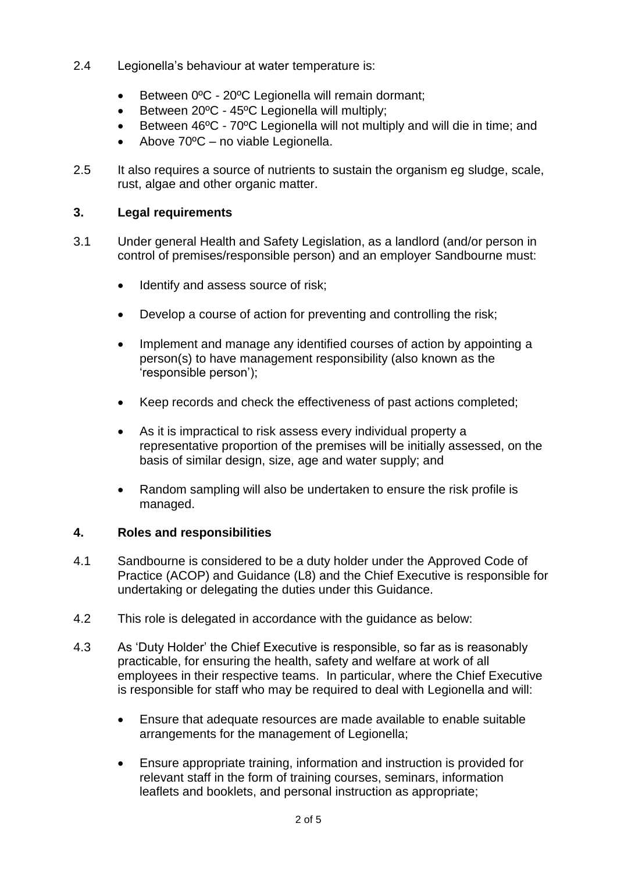- 2.4 Legionella's behaviour at water temperature is:
	- Between 0°C 20°C Legionella will remain dormant;
	- Between 20ºC 45ºC Legionella will multiply;
	- Between 46ºC 70ºC Legionella will not multiply and will die in time; and
	- Above 70ºC no viable Legionella.
- 2.5 It also requires a source of nutrients to sustain the organism eg sludge, scale, rust, algae and other organic matter.

## **3. Legal requirements**

- 3.1 Under general Health and Safety Legislation, as a landlord (and/or person in control of premises/responsible person) and an employer Sandbourne must:
	- Identify and assess source of risk;
	- Develop a course of action for preventing and controlling the risk;
	- Implement and manage any identified courses of action by appointing a person(s) to have management responsibility (also known as the 'responsible person');
	- Keep records and check the effectiveness of past actions completed;
	- As it is impractical to risk assess every individual property a representative proportion of the premises will be initially assessed, on the basis of similar design, size, age and water supply; and
	- Random sampling will also be undertaken to ensure the risk profile is managed.

## **4. Roles and responsibilities**

- 4.1 Sandbourne is considered to be a duty holder under the Approved Code of Practice (ACOP) and Guidance (L8) and the Chief Executive is responsible for undertaking or delegating the duties under this Guidance.
- 4.2 This role is delegated in accordance with the guidance as below:
- 4.3 As 'Duty Holder' the Chief Executive is responsible, so far as is reasonably practicable, for ensuring the health, safety and welfare at work of all employees in their respective teams. In particular, where the Chief Executive is responsible for staff who may be required to deal with Legionella and will:
	- Ensure that adequate resources are made available to enable suitable arrangements for the management of Legionella;
	- Ensure appropriate training, information and instruction is provided for relevant staff in the form of training courses, seminars, information leaflets and booklets, and personal instruction as appropriate;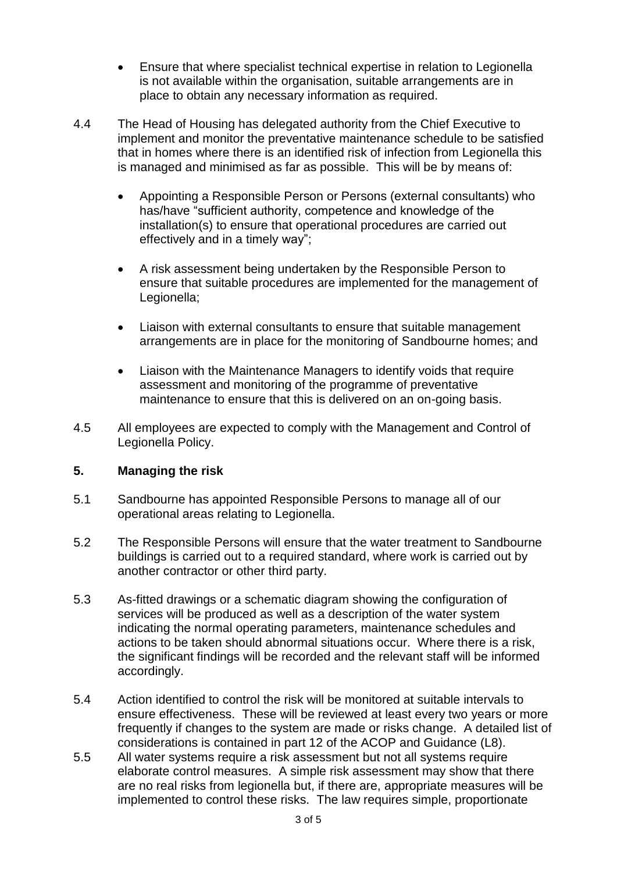- Ensure that where specialist technical expertise in relation to Legionella is not available within the organisation, suitable arrangements are in place to obtain any necessary information as required.
- 4.4 The Head of Housing has delegated authority from the Chief Executive to implement and monitor the preventative maintenance schedule to be satisfied that in homes where there is an identified risk of infection from Legionella this is managed and minimised as far as possible. This will be by means of:
	- Appointing a Responsible Person or Persons (external consultants) who has/have "sufficient authority, competence and knowledge of the installation(s) to ensure that operational procedures are carried out effectively and in a timely way";
	- A risk assessment being undertaken by the Responsible Person to ensure that suitable procedures are implemented for the management of Legionella;
	- Liaison with external consultants to ensure that suitable management arrangements are in place for the monitoring of Sandbourne homes; and
	- Liaison with the Maintenance Managers to identify voids that require assessment and monitoring of the programme of preventative maintenance to ensure that this is delivered on an on-going basis.
- 4.5 All employees are expected to comply with the Management and Control of Legionella Policy.

## **5. Managing the risk**

- 5.1 Sandbourne has appointed Responsible Persons to manage all of our operational areas relating to Legionella.
- 5.2 The Responsible Persons will ensure that the water treatment to Sandbourne buildings is carried out to a required standard, where work is carried out by another contractor or other third party.
- 5.3 As-fitted drawings or a schematic diagram showing the configuration of services will be produced as well as a description of the water system indicating the normal operating parameters, maintenance schedules and actions to be taken should abnormal situations occur. Where there is a risk, the significant findings will be recorded and the relevant staff will be informed accordingly.
- 5.4 Action identified to control the risk will be monitored at suitable intervals to ensure effectiveness. These will be reviewed at least every two years or more frequently if changes to the system are made or risks change. A detailed list of considerations is contained in part 12 of the ACOP and Guidance (L8).
- 5.5 All water systems require a risk assessment but not all systems require elaborate control measures. A simple risk assessment may show that there are no real risks from legionella but, if there are, appropriate measures will be implemented to control these risks. The law requires simple, proportionate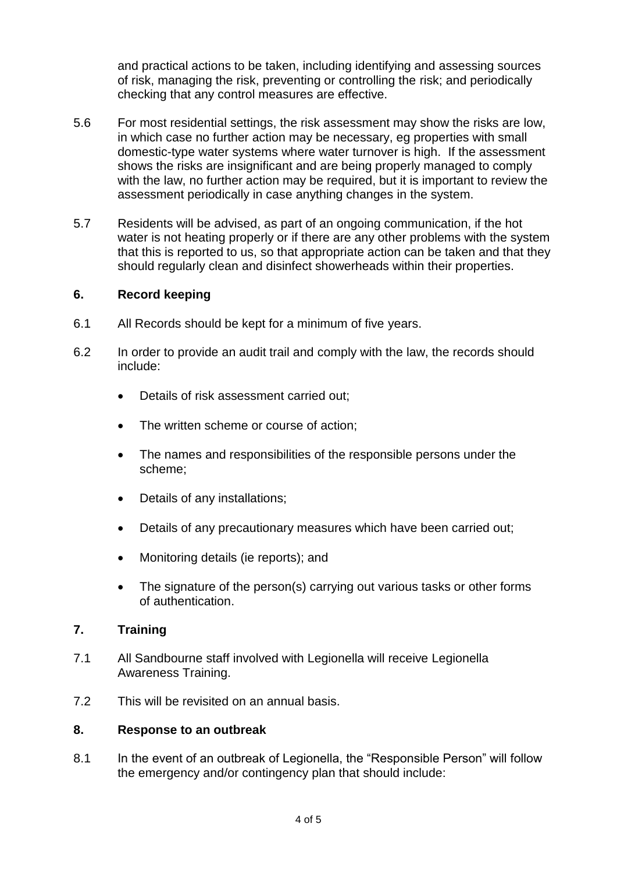and practical actions to be taken, including identifying and assessing sources of risk, managing the risk, preventing or controlling the risk; and periodically checking that any control measures are effective.

- 5.6 For most residential settings, the risk assessment may show the risks are low, in which case no further action may be necessary, eg properties with small domestic-type water systems where water turnover is high. If the assessment shows the risks are insignificant and are being properly managed to comply with the law, no further action may be required, but it is important to review the assessment periodically in case anything changes in the system.
- 5.7 Residents will be advised, as part of an ongoing communication, if the hot water is not heating properly or if there are any other problems with the system that this is reported to us, so that appropriate action can be taken and that they should regularly clean and disinfect showerheads within their properties.

#### **6. Record keeping**

- 6.1 All Records should be kept for a minimum of five years.
- 6.2 In order to provide an audit trail and comply with the law, the records should include:
	- Details of risk assessment carried out:
	- The written scheme or course of action;
	- The names and responsibilities of the responsible persons under the scheme;
	- Details of any installations;
	- Details of any precautionary measures which have been carried out;
	- Monitoring details (ie reports); and
	- The signature of the person(s) carrying out various tasks or other forms of authentication.

## **7. Training**

- 7.1 All Sandbourne staff involved with Legionella will receive Legionella Awareness Training.
- 7.2 This will be revisited on an annual basis.

#### **8. Response to an outbreak**

8.1 In the event of an outbreak of Legionella, the "Responsible Person" will follow the emergency and/or contingency plan that should include: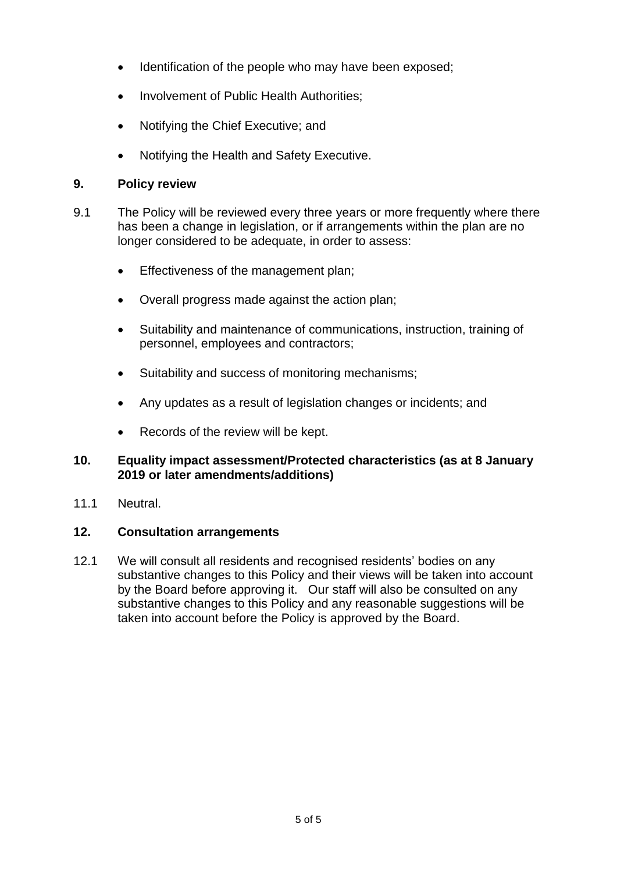- Identification of the people who may have been exposed;
- Involvement of Public Health Authorities;
- Notifying the Chief Executive; and
- Notifying the Health and Safety Executive.

#### **9. Policy review**

- 9.1 The Policy will be reviewed every three years or more frequently where there has been a change in legislation, or if arrangements within the plan are no longer considered to be adequate, in order to assess:
	- **Effectiveness of the management plan;**
	- Overall progress made against the action plan;
	- Suitability and maintenance of communications, instruction, training of personnel, employees and contractors;
	- Suitability and success of monitoring mechanisms;
	- Any updates as a result of legislation changes or incidents; and
	- Records of the review will be kept.

## **10. Equality impact assessment/Protected characteristics (as at 8 January 2019 or later amendments/additions)**

11.1 Neutral.

## **12. Consultation arrangements**

12.1 We will consult all residents and recognised residents' bodies on any substantive changes to this Policy and their views will be taken into account by the Board before approving it. Our staff will also be consulted on any substantive changes to this Policy and any reasonable suggestions will be taken into account before the Policy is approved by the Board.